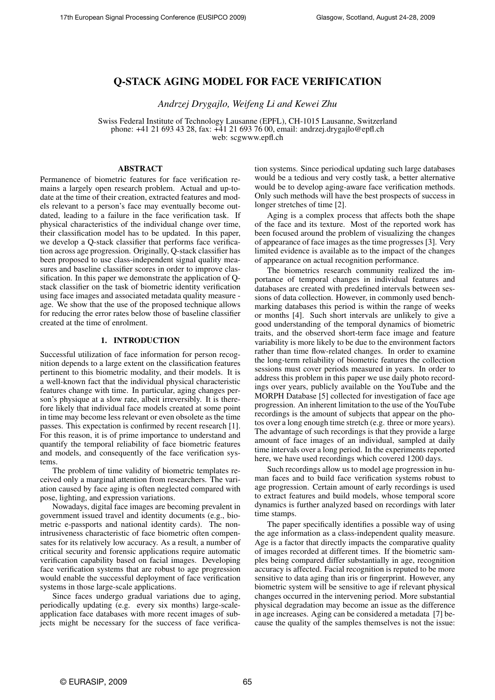# Q-STACK AGING MODEL FOR FACE VERIFICATION

*Andrzej Drygajlo, Weifeng Li and Kewei Zhu*

Swiss Federal Institute of Technology Lausanne (EPFL), CH-1015 Lausanne, Switzerland phone: +41 21 693 43 28, fax: +41 21 693 76 00, email: andrzej.drygajlo@epfl.ch web: scgwww.epfl.ch

# **ABSTRACT**

Permanence of biometric features for face verification remains a largely open research problem. Actual and up-todate at the time of their creation, extracted features and models relevant to a person's face may eventually become outdated, leading to a failure in the face verification task. If physical characteristics of the individual change over time, their classification model has to be updated. In this paper, we develop a Q-stack classifier that performs face verification across age progression. Originally, Q-stack classifier has been proposed to use class-independent signal quality measures and baseline classifier scores in order to improve classification. In this paper we demonstrate the application of Qstack classifier on the task of biometric identity verification using face images and associated metadata quality measure age. We show that the use of the proposed technique allows for reducing the error rates below those of baseline classifier created at the time of enrolment.

# 1. INTRODUCTION

Successful utilization of face information for person recognition depends to a large extent on the classification features pertinent to this biometric modality, and their models. It is a well-known fact that the individual physical characteristic features change with time. In particular, aging changes person's physique at a slow rate, albeit irreversibly. It is therefore likely that individual face models created at some point in time may become less relevant or even obsolete as the time passes. This expectation is confirmed by recent research [1]. For this reason, it is of prime importance to understand and quantify the temporal reliability of face biometric features and models, and consequently of the face verification systems.

The problem of time validity of biometric templates received only a marginal attention from researchers. The variation caused by face aging is often neglected compared with pose, lighting, and expression variations.

Nowadays, digital face images are becoming prevalent in government issued travel and identity documents (e.g., biometric e-passports and national identity cards). The nonintrusiveness characteristic of face biometric often compensates for its relatively low accuracy. As a result, a number of critical security and forensic applications require automatic verification capability based on facial images. Developing face verification systems that are robust to age progression would enable the successful deployment of face verification systems in those large-scale applications.

Since faces undergo gradual variations due to aging, periodically updating (e.g. every six months) large-scaleapplication face databases with more recent images of subjects might be necessary for the success of face verification systems. Since periodical updating such large databases would be a tedious and very costly task, a better alternative would be to develop aging-aware face verification methods. Only such methods will have the best prospects of success in longer stretches of time [2].

Aging is a complex process that affects both the shape of the face and its texture. Most of the reported work has been focused around the problem of visualizing the changes of appearance of face images as the time progresses [3]. Very limited evidence is available as to the impact of the changes of appearance on actual recognition performance.

The biometrics research community realized the importance of temporal changes in individual features and databases are created with predefined intervals between sessions of data collection. However, in commonly used benchmarking databases this period is within the range of weeks or months [4]. Such short intervals are unlikely to give a good understanding of the temporal dynamics of biometric traits, and the observed short-term face image and feature variability is more likely to be due to the environment factors rather than time flow-related changes. In order to examine the long-term reliability of biometric features the collection sessions must cover periods measured in years. In order to address this problem in this paper we use daily photo recordings over years, publicly available on the YouTube and the MORPH Database [5] collected for investigation of face age progression. An inherent limitation to the use of the YouTube recordings is the amount of subjects that appear on the photos over a long enough time stretch (e.g. three or more years). The advantage of such recordings is that they provide a large amount of face images of an individual, sampled at daily time intervals over a long period. In the experiments reported here, we have used recordings which covered 1200 days.

Such recordings allow us to model age progression in human faces and to build face verification systems robust to age progression. Certain amount of early recordings is used to extract features and build models, whose temporal score dynamics is further analyzed based on recordings with later time stamps.

The paper specifically identifies a possible way of using the age information as a class-independent quality measure. Age is a factor that directly impacts the comparative quality of images recorded at different times. If the biometric samples being compared differ substantially in age, recognition accuracy is affected. Facial recognition is reputed to be more sensitive to data aging than iris or fingerprint. However, any biometric system will be sensitive to age if relevant physical changes occurred in the intervening period. More substantial physical degradation may become an issue as the difference in age increases. Aging can be considered a metadata [7] because the quality of the samples themselves is not the issue: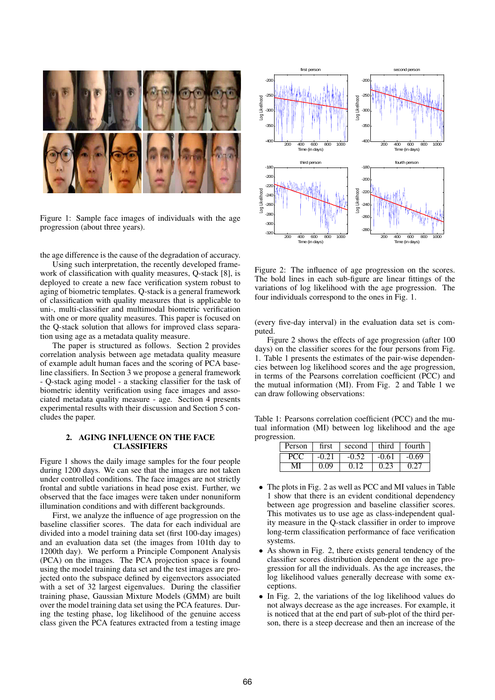

Figure 1: Sample face images of individuals with the age progression (about three years).

the age difference is the cause of the degradation of accuracy.

Using such interpretation, the recently developed framework of classification with quality measures, Q-stack [8], is deployed to create a new face verification system robust to aging of biometric templates. Q-stack is a general framework of classification with quality measures that is applicable to uni-, multi-classifier and multimodal biometric verification with one or more quality measures. This paper is focused on the Q-stack solution that allows for improved class separation using age as a metadata quality measure.

The paper is structured as follows. Section 2 provides correlation analysis between age metadata quality measure of example adult human faces and the scoring of PCA baseline classifiers. In Section 3 we propose a general framework - Q-stack aging model - a stacking classifier for the task of biometric identity verification using face images and associated metadata quality measure - age. Section 4 presents experimental results with their discussion and Section 5 concludes the paper.

## 2. AGING INFLUENCE ON THE FACE CLASSIFIERS

Figure 1 shows the daily image samples for the four people during 1200 days. We can see that the images are not taken under controlled conditions. The face images are not strictly frontal and subtle variations in head pose exist. Further, we observed that the face images were taken under nonuniform illumination conditions and with different backgrounds.

First, we analyze the influence of age progression on the baseline classifier scores. The data for each individual are divided into a model training data set (first 100-day images) and an evaluation data set (the images from 101th day to 1200th day). We perform a Principle Component Analysis (PCA) on the images. The PCA projection space is found using the model training data set and the test images are projected onto the subspace defined by eigenvectors associated with a set of 32 largest eigenvalues. During the classifier training phase, Gaussian Mixture Models (GMM) are built over the model training data set using the PCA features. During the testing phase, log likelihood of the genuine access class given the PCA features extracted from a testing image



Figure 2: The influence of age progression on the scores. The bold lines in each sub-figure are linear fittings of the variations of log likelihood with the age progression. The four individuals correspond to the ones in Fig. 1.

(every five-day interval) in the evaluation data set is computed.

Figure 2 shows the effects of age progression (after 100 days) on the classifier scores for the four persons from Fig. 1. Table 1 presents the estimates of the pair-wise dependencies between log likelihood scores and the age progression, in terms of the Pearsons correlation coefficient (PCC) and the mutual information (MI). From Fig. 2 and Table 1 we can draw following observations:

Table 1: Pearsons correlation coefficient (PCC) and the mutual information (MI) between log likelihood and the age progression.

| Person | first   | second | third   | fourth  |
|--------|---------|--------|---------|---------|
| PC T   | $-0.21$ |        | $-0.61$ | $-0.69$ |
|        | .09     |        |         |         |

- The plots in Fig. 2 as well as PCC and MI values in Table 1 show that there is an evident conditional dependency between age progression and baseline classifier scores. This motivates us to use age as class-independent quality measure in the Q-stack classifier in order to improve long-term classification performance of face verification systems.
- As shown in Fig. 2, there exists general tendency of the classifier scores distribution dependent on the age progression for all the individuals. As the age increases, the log likelihood values generally decrease with some exceptions.
- In Fig. 2, the variations of the log likelihood values do not always decrease as the age increases. For example, it is noticed that at the end part of sub-plot of the third person, there is a steep decrease and then an increase of the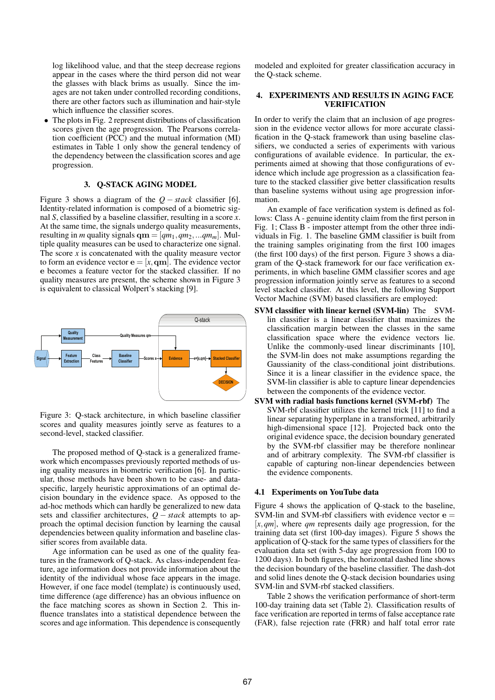log likelihood value, and that the steep decrease regions appear in the cases where the third person did not wear the glasses with black brims as usually. Since the images are not taken under controlled recording conditions, there are other factors such as illumination and hair-style which influence the classifier scores.

• The plots in Fig. 2 represent distributions of classification scores given the age progression. The Pearsons correlation coefficient (PCC) and the mutual information (MI) estimates in Table 1 only show the general tendency of the dependency between the classification scores and age progression.

## 3. Q-STACK AGING MODEL

Figure 3 shows a diagram of the *Q* − *stack* classifier [6]. Identity-related information is composed of a biometric signal *S*, classified by a baseline classifier, resulting in a score *x*. At the same time, the signals undergo quality measurements, resulting in *m* quality signals  $qm = [qm_1, qm_2,...qm_m]$ . Multiple quality measures can be used to characterize one signal. The score  $x$  is concatenated with the quality measure vector to form an evidence vector  $\mathbf{e} = [x, \mathbf{q}\mathbf{m}]$ . The evidence vector e becomes a feature vector for the stacked classifier. If no quality measures are present, the scheme shown in Figure 3 is equivalent to classical Wolpert's stacking [9].



Figure 3: Q-stack architecture, in which baseline classifier scores and quality measures jointly serve as features to a second-level, stacked classifier.

The proposed method of Q-stack is a generalized framework which encompasses previously reported methods of using quality measures in biometric verification [6]. In particular, those methods have been shown to be case- and dataspecific, largely heuristic approximations of an optimal decision boundary in the evidence space. As opposed to the ad-hoc methods which can hardly be generalized to new data sets and classifier architectures, *Q* − *stack* attempts to approach the optimal decision function by learning the causal dependencies between quality information and baseline classifier scores from available data.

Age information can be used as one of the quality features in the framework of Q-stack. As class-independent feature, age information does not provide information about the identity of the individual whose face appears in the image. However, if one face model (template) is continuously used, time difference (age difference) has an obvious influence on the face matching scores as shown in Section 2. This influence translates into a statistical dependence between the scores and age information. This dependence is consequently modeled and exploited for greater classification accuracy in the Q-stack scheme.

## 4. EXPERIMENTS AND RESULTS IN AGING FACE VERIFICATION

In order to verify the claim that an inclusion of age progression in the evidence vector allows for more accurate classification in the Q-stack framework than using baseline classifiers, we conducted a series of experiments with various configurations of available evidence. In particular, the experiments aimed at showing that those configurations of evidence which include age progression as a classification feature to the stacked classifier give better classification results than baseline systems without using age progression information.

An example of face verification system is defined as follows: Class A - genuine identity claim from the first person in Fig. 1; Class B - imposter attempt from the other three individuals in Fig. 1. The baseline GMM classifier is built from the training samples originating from the first 100 images (the first 100 days) of the first person. Figure 3 shows a diagram of the Q-stack framework for our face verification experiments, in which baseline GMM classifier scores and age progression information jointly serve as features to a second level stacked classifier. At this level, the following Support Vector Machine (SVM) based classifiers are employed:

- SVM classifier with linear kernel (SVM-lin) The SVMlin classifier is a linear classifier that maximizes the classification margin between the classes in the same classification space where the evidence vectors lie. Unlike the commonly-used linear discriminants [10], the SVM-lin does not make assumptions regarding the Gaussianity of the class-conditional joint distributions. Since it is a linear classifier in the evidence space, the SVM-lin classifier is able to capture linear dependencies between the components of the evidence vector.
- SVM with radial basis functions kernel (SVM-rbf) The SVM-rbf classifier utilizes the kernel trick [11] to find a linear separating hyperplane in a transformed, arbitrarily high-dimensional space [12]. Projected back onto the original evidence space, the decision boundary generated by the SVM-rbf classifier may be therefore nonlinear and of arbitrary complexity. The SVM-rbf classifier is capable of capturing non-linear dependencies between the evidence components.

#### 4.1 Experiments on YouTube data

Figure 4 shows the application of Q-stack to the baseline, SVM-lin and SVM-rbf classifiers with evidence vector  $e =$ [*x*,*qm*], where *qm* represents daily age progression, for the training data set (first 100-day images). Figure 5 shows the application of Q-stack for the same types of classifiers for the evaluation data set (with 5-day age progression from 100 to 1200 days). In both figures, the horizontal dashed line shows the decision boundary of the baseline classifier. The dash-dot and solid lines denote the Q-stack decision boundaries using SVM-lin and SVM-rbf stacked classifiers.

Table 2 shows the verification performance of short-term 100-day training data set (Table 2). Classification results of face verification are reported in terms of false acceptance rate (FAR), false rejection rate (FRR) and half total error rate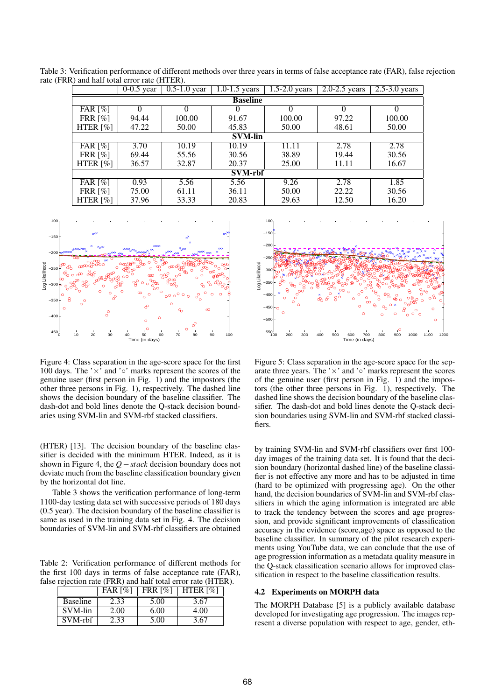|                       | $\mathbf{u}$ , and nan total citol rate (111121). |                            |                             |                   |                   |                   |
|-----------------------|---------------------------------------------------|----------------------------|-----------------------------|-------------------|-------------------|-------------------|
|                       | $\overline{0-0.5}$ year                           | $\overline{0.5}$ -1.0 year | $\overline{1.0}$ -1.5 years | $1.5 - 2.0$ years | $2.0 - 2.5$ years | $2.5 - 3.0$ years |
|                       | <b>Baseline</b>                                   |                            |                             |                   |                   |                   |
| FAR $\lceil\% \rceil$ |                                                   |                            |                             |                   |                   |                   |
| FRR $\lceil\% \rceil$ | 94.44                                             | 100.00                     | 91.67                       | 100.00            | 97.22             | 100.00            |
| HTER $[\%]$           | 47.22                                             | 50.00                      | 45.83                       | 50.00             | 48.61             | 50.00             |
|                       | <b>SVM-lin</b>                                    |                            |                             |                   |                   |                   |
| FAR $\lceil\% \rceil$ | 3.70                                              | 10.19                      | 10.19                       | 11.11             | 2.78              | 2.78              |
| FRR $\lceil\% \rceil$ | 69.44                                             | 55.56                      | 30.56                       | 38.89             | 19.44             | 30.56             |
| HTER $[%]$            | 36.57                                             | 32.87                      | 20.37                       | 25.00             | 11.11             | 16.67             |
| <b>SVM-rbf</b>        |                                                   |                            |                             |                   |                   |                   |
| FAR $\lceil\% \rceil$ | 0.93                                              | 5.56                       | 5.56                        | 9.26              | 2.78              | 1.85              |
| FRR $\lceil\% \rceil$ | 75.00                                             | 61.11                      | 36.11                       | 50.00             | 22.22             | 30.56             |
| HTER $[%]$            | 37.96                                             | 33.33                      | 20.83                       | 29.63             | 12.50             | 16.20             |

Table 3: Verification performance of different methods over three years in terms of false acceptance rate (FAR), false rejection rate (FRR) and half total error rate (HTER).



Figure 4: Class separation in the age-score space for the first 100 days. The ' $\times$ ' and '∘' marks represent the scores of the genuine user (first person in Fig. 1) and the impostors (the other three persons in Fig. 1), respectively. The dashed line shows the decision boundary of the baseline classifier. The dash-dot and bold lines denote the Q-stack decision boundaries using SVM-lin and SVM-rbf stacked classifiers.

(HTER) [13]. The decision boundary of the baseline classifier is decided with the minimum HTER. Indeed, as it is shown in Figure 4, the *Q*−*stack* decision boundary does not deviate much from the baseline classification boundary given by the horizontal dot line.

Table 3 shows the verification performance of long-term 1100-day testing data set with successive periods of 180 days (0.5 year). The decision boundary of the baseline classifier is same as used in the training data set in Fig. 4. The decision boundaries of SVM-lin and SVM-rbf classifiers are obtained

Table 2: Verification performance of different methods for the first 100 days in terms of false acceptance rate (FAR), false rejection rate (FRR) and half total error rate (HTER).

|                 | FAR $[%]$ | <b>FRR [%]</b> | HTER [%] |
|-----------------|-----------|----------------|----------|
| <b>Baseline</b> | 2.33      | 5.00           | 3.67     |
| SVM-lin         | 2.00      | 6.00           | 4.00     |
| SVM-rhf         | .33       | 5.00           | 3.67     |



Figure 5: Class separation in the age-score space for the separate three years. The ' $\times$ ' and ' $\circ$ ' marks represent the scores of the genuine user (first person in Fig. 1) and the impostors (the other three persons in Fig. 1), respectively. The dashed line shows the decision boundary of the baseline classifier. The dash-dot and bold lines denote the Q-stack decision boundaries using SVM-lin and SVM-rbf stacked classifiers.

by training SVM-lin and SVM-rbf classifiers over first 100 day images of the training data set. It is found that the decision boundary (horizontal dashed line) of the baseline classifier is not effective any more and has to be adjusted in time (hard to be optimized with progressing age). On the other hand, the decision boundaries of SVM-lin and SVM-rbf classifiers in which the aging information is integrated are able to track the tendency between the scores and age progression, and provide significant improvements of classification accuracy in the evidence (score,age) space as opposed to the baseline classifier. In summary of the pilot research experiments using YouTube data, we can conclude that the use of age progression information as a metadata quality measure in the Q-stack classification scenario allows for improved classification in respect to the baseline classification results.

#### 4.2 Experiments on MORPH data

The MORPH Database [5] is a publicly available database developed for investigating age progression. The images represent a diverse population with respect to age, gender, eth-